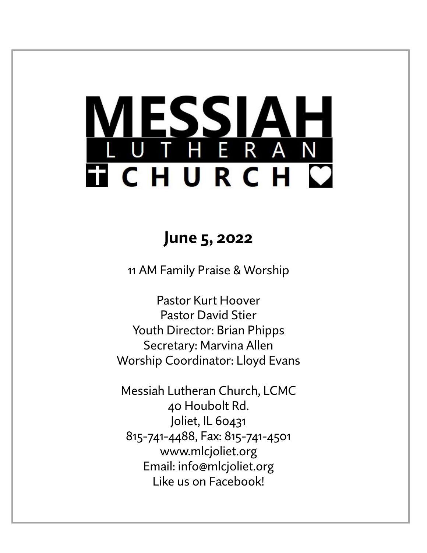# ESSIAH<br>The Ran **TICHURCH C**

# **June 5, 2022**

11 AM Family Praise & Worship

Pastor Kurt Hoover Pastor David Stier Youth Director: Brian Phipps Secretary: Marvina Allen Worship Coordinator: Lloyd Evans

Messiah Lutheran Church, LCMC 40 Houbolt Rd. Joliet, IL 60431 815-741-4488, Fax: 815-741-4501 www.mlcjoliet.org Email: info@mlcjoliet.org Like us on Facebook!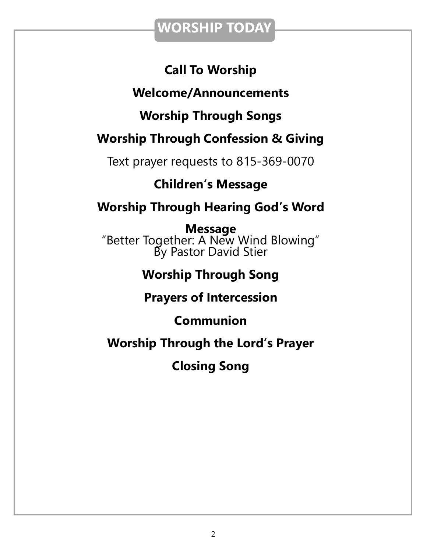## **WORSHIP TODAY**

## **Call To Worship**

## **Welcome/Announcements**

## **Worship Through Songs**

## **Worship Through Confession & Giving**

Text prayer requests to 815-369-0070

## **Children's Message**

## **Worship Through Hearing God's Word**

**Message** "Better Together: A New Wind Blowing" By Pastor David Stier

## **Worship Through Song**

## **Prayers of Intercession**

## **Communion**

## **Worship Through the Lord's Prayer**

**Closing Song**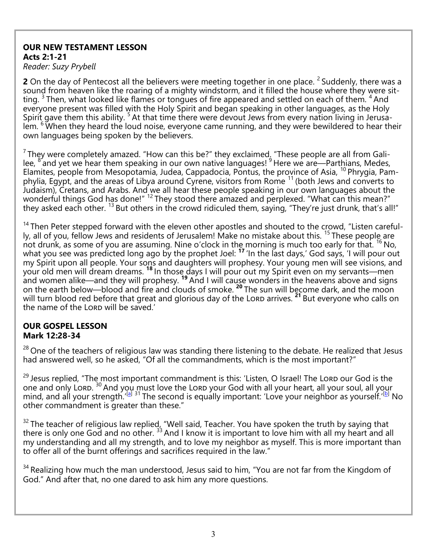#### **OUR NEW TESTAMENT LESSON Acts 2:1-21**

*Reader: Suzy Prybell*

**2** On the day of Pentecost all the believers were meeting together in one place. <sup>2</sup> Suddenly, there was a sound from heaven like the roaring of a mighty windstorm, and it filled the house where they were sitting.  $3$  Then, what looked like flames or tongues of fire appeared and settled on each of them.  $4$  And everyone present was filled with the Holy Spirit and began speaking in other languages, as the Holy Spirit gave them this ability. <sup>5</sup> At that time there were devout Jews from every nation living in Jerusalem. <sup>6</sup> When they heard the loud noise, everyone came running, and they were bewildered to hear their own languages being spoken by the believers.

 $<sup>7</sup>$ They were completely amazed. "How can this be?" they exclaimed. "These people are all from Gali-</sup> lee, <sup>8</sup> and yet we hear them speaking in our own native languages! <sup>9</sup> Here we are—Parthians, Medes, Elamites, people from Mesopotamia, Judea, Cappadocia, Pontus, the province of Asia, <sup>10</sup> Phrygia, Pamphylia, Egypt, and the areas of Libya around Cyrene, visitors from Rome <sup>11</sup> (both Jews and converts to Judaism), Cretans, and Arabs. And we all hear these people speaking in our own languages about the wonderful things God has done!" <sup>12</sup> They stood there amazed and perplexed. "What can this mean?" they asked each other. <sup>13</sup> But others in the crowd ridiculed them, saying, "They're just drunk, that's all!"

<sup>14</sup> Then Peter stepped forward with the eleven other apostles and shouted to the crowd, "Listen carefully, all of you, fellow Jews and residents of Jerusalem! Make no mistake about this. <sup>15</sup> These people are not drunk, as some of you are assuming. Nine o'clock in the morning is much too early for that. <sup>16</sup> No, what you see was predicted long ago by the prophet Joel: <sup>17</sup> 'In the last days,' God says, 'I will pour out my Spirit upon all people. Your sons and daughters will prophesy. Your young men will see visions, and your old men will dream dreams. **<sup>18</sup>** In those days I will pour out my Spirit even on my servants—men and women alike—and they will prophesy. **<sup>19</sup>** And I will cause wonders in the heavens above and signs on the earth below—blood and fire and clouds of smoke. **<sup>20</sup>** The sun will become dark, and the moon will turn blood red before that great and glorious day of the Lord arrives. <sup>21</sup> But everyone who calls on the name of the Lorp will be saved.'

#### **OUR GOSPEL LESSON Mark 12:28-34**

<sup>28</sup> One of the teachers of religious law was standing there listening to the debate. He realized that Jesus had answered well, so he asked, "Of all the commandments, which is the most important?"

<sup>29</sup> Jesus replied, "The most important commandment is this: 'Listen, O Israel! The Lord our God is the one and only Lord. <sup>30</sup> And you must love the Lord your God with all your heart, all your soul, all your mind, and all your strength.'<sup>[[a\]](https://www.biblegateway.com/passage/?search=Mark+12%3A28-34&version=NLT#fen-NLT-24673a) 31</sup> The second is equally important: 'Love your neighbor as yourself.'<sup>[[b\]](https://www.biblegateway.com/passage/?search=Mark+12%3A28-34&version=NLT#fen-NLT-24674b)</sup> No other commandment is greater than these."

 $32$  The teacher of religious law replied, "Well said, Teacher. You have spoken the truth by saying that there is only one God and no other.  $33$  And I know it is important to love him with all my heart and all my understanding and all my strength, and to love my neighbor as myself. This is more important than to offer all of the burnt offerings and sacrifices required in the law."

<sup>34</sup> Realizing how much the man understood, Jesus said to him, "You are not far from the Kingdom of God." And after that, no one dared to ask him any more questions.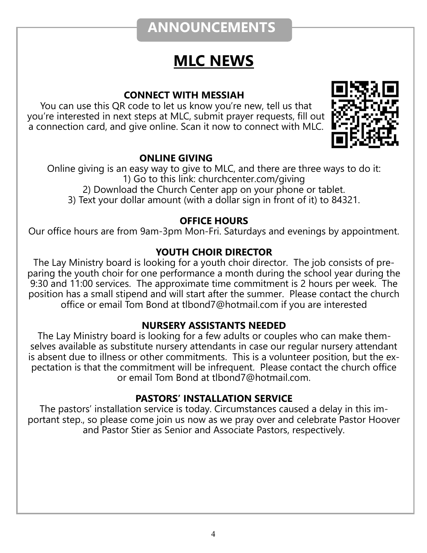# **ANNOUNCEMENTS**

# **MLC NEWS**

#### **CONNECT WITH MESSIAH**

You can use this QR code to let us know you're new, tell us that you're interested in next steps at MLC, submit prayer requests, fill out a connection card, and give online. Scan it now to connect with MLC.



#### **ONLINE GIVING**

Online giving is an easy way to give to MLC, and there are three ways to do it: 1) Go to this link: churchcenter.com/giving 2) Download the Church Center app on your phone or tablet. 3) Text your dollar amount (with a dollar sign in front of it) to 84321.

#### **OFFICE HOURS**

Our office hours are from 9am-3pm Mon-Fri. Saturdays and evenings by appointment.

#### **YOUTH CHOIR DIRECTOR**

The Lay Ministry board is looking for a youth choir director. The job consists of preparing the youth choir for one performance a month during the school year during the 9:30 and 11:00 services. The approximate time commitment is 2 hours per week. The position has a small stipend and will start after the summer. Please contact the church office or email Tom Bond at tlbond7@hotmail.com if you are interested

#### **NURSERY ASSISTANTS NEEDED**

The Lay Ministry board is looking for a few adults or couples who can make themselves available as substitute nursery attendants in case our regular nursery attendant is absent due to illness or other commitments. This is a volunteer position, but the expectation is that the commitment will be infrequent. Please contact the church office or email Tom Bond at tlbond7@hotmail.com.

#### **PASTORS' INSTALLATION SERVICE**

The pastors' installation service is today. Circumstances caused a delay in this important step., so please come join us now as we pray over and celebrate Pastor Hoover and Pastor Stier as Senior and Associate Pastors, respectively.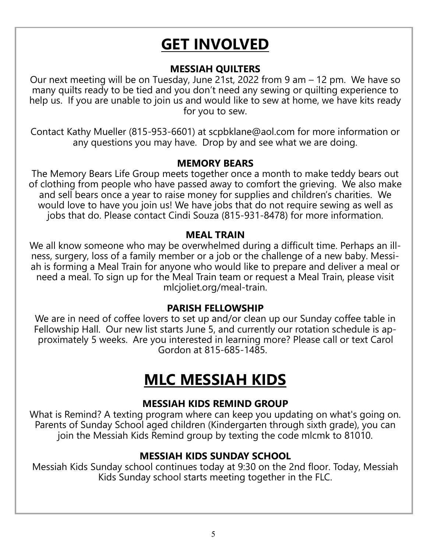# **GET INVOLVED**

#### **MESSIAH QUILTERS**

Our next meeting will be on Tuesday, June 21st, 2022 from 9 am – 12 pm. We have so many quilts ready to be tied and you don't need any sewing or quilting experience to help us. If you are unable to join us and would like to sew at home, we have kits ready for you to sew.

Contact Kathy Mueller (815-953-6601) at scpbklane@aol.com for more information or any questions you may have. Drop by and see what we are doing.

#### **MEMORY BEARS**

The Memory Bears Life Group meets together once a month to make teddy bears out of clothing from people who have passed away to comfort the grieving. We also make and sell bears once a year to raise money for supplies and children's charities. We would love to have you join us! We have jobs that do not require sewing as well as jobs that do. Please contact Cindi Souza (815-931-8478) for more information.

#### **MEAL TRAIN**

We all know someone who may be overwhelmed during a difficult time. Perhaps an illness, surgery, loss of a family member or a job or the challenge of a new baby. Messiah is forming a Meal Train for anyone who would like to prepare and deliver a meal or need a meal. To sign up for the Meal Train team or request a Meal Train, please visit mlcjoliet.org/meal-train.

#### **PARISH FELLOWSHIP**

We are in need of coffee lovers to set up and/or clean up our Sunday coffee table in Fellowship Hall. Our new list starts June 5, and currently our rotation schedule is approximately 5 weeks. Are you interested in learning more? Please call or text Carol Gordon at 815-685-1485.

# **MLC MESSIAH KIDS**

#### **MESSIAH KIDS REMIND GROUP**

What is Remind? A texting program where can keep you updating on what's going on. Parents of Sunday School aged children (Kindergarten through sixth grade), you can join the Messiah Kids Remind group by texting the code mlcmk to 81010.

#### **MESSIAH KIDS SUNDAY SCHOOL**

Messiah Kids Sunday school continues today at 9:30 on the 2nd floor. Today, Messiah Kids Sunday school starts meeting together in the FLC.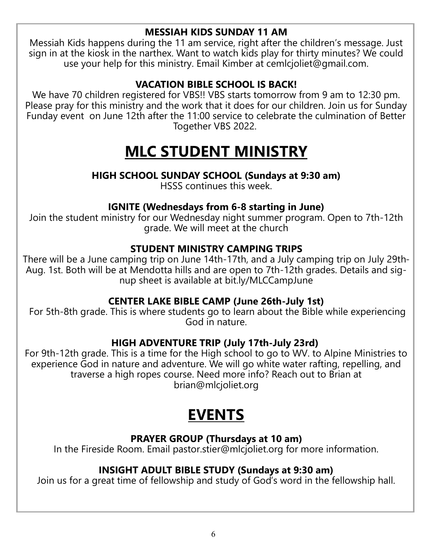#### **MESSIAH KIDS SUNDAY 11 AM**

Messiah Kids happens during the 11 am service, right after the children's message. Just sign in at the kiosk in the narthex. Want to watch kids play for thirty minutes? We could use your help for this ministry. Email Kimber at cemlcjoliet@gmail.com.

#### **VACATION BIBLE SCHOOL IS BACK!**

We have 70 children registered for VBS!! VBS starts tomorrow from 9 am to 12:30 pm. Please pray for this ministry and the work that it does for our children. Join us for Sunday Funday event on June 12th after the 11:00 service to celebrate the culmination of Better Together VBS 2022.

# **MLC STUDENT MINISTRY**

#### **HIGH SCHOOL SUNDAY SCHOOL (Sundays at 9:30 am)**

HSSS continues this week.

#### **IGNITE (Wednesdays from 6-8 starting in June)**

Join the student ministry for our Wednesday night summer program. Open to 7th-12th grade. We will meet at the church

#### **STUDENT MINISTRY CAMPING TRIPS**

There will be a June camping trip on June 14th-17th, and a July camping trip on July 29th-Aug. 1st. Both will be at Mendotta hills and are open to 7th-12th grades. Details and signup sheet is available at bit.ly/MLCCampJune

#### **CENTER LAKE BIBLE CAMP (June 26th-July 1st)**

For 5th-8th grade. This is where students go to learn about the Bible while experiencing God in nature.

#### **HIGH ADVENTURE TRIP (July 17th-July 23rd)**

For 9th-12th grade. This is a time for the High school to go to WV. to Alpine Ministries to experience God in nature and adventure. We will go white water rafting, repelling, and traverse a high ropes course. Need more info? Reach out to Brian at brian@mlcjoliet.org

# **EVENTS**

#### **PRAYER GROUP (Thursdays at 10 am)**

In the Fireside Room. Email pastor.stier@mlcjoliet.org for more information.

#### **INSIGHT ADULT BIBLE STUDY (Sundays at 9:30 am)**

Join us for a great time of fellowship and study of God's word in the fellowship hall.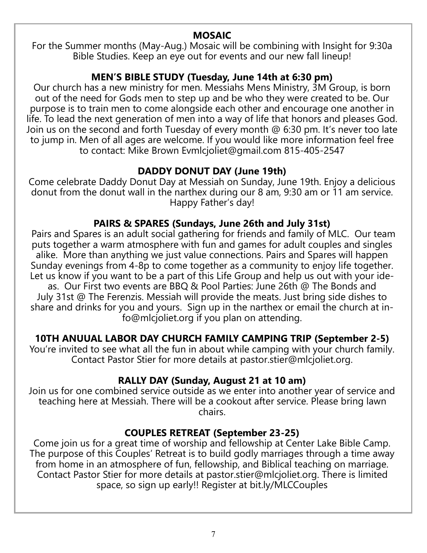#### **MOSAIC**

For the Summer months (May-Aug.) Mosaic will be combining with Insight for 9:30a Bible Studies. Keep an eye out for events and our new fall lineup!

#### **MEN'S BIBLE STUDY (Tuesday, June 14th at 6:30 pm)**

Our church has a new ministry for men. Messiahs Mens Ministry, 3M Group, is born out of the need for Gods men to step up and be who they were created to be. Our purpose is to train men to come alongside each other and encourage one another in life. To lead the next generation of men into a way of life that honors and pleases God. Join us on the second and forth Tuesday of every month @ 6:30 pm. It's never too late to jump in. Men of all ages are welcome. If you would like more information feel free to contact: Mike Brown Evmlcjoliet@gmail.com 815-405-2547

#### **DADDY DONUT DAY (June 19th)**

Come celebrate Daddy Donut Day at Messiah on Sunday, June 19th. Enjoy a delicious donut from the donut wall in the narthex during our 8 am, 9:30 am or 11 am service. Happy Father's day!

#### **PAIRS & SPARES (Sundays, June 26th and July 31st)**

Pairs and Spares is an adult social gathering for friends and family of MLC. Our team puts together a warm atmosphere with fun and games for adult couples and singles alike. More than anything we just value connections. Pairs and Spares will happen Sunday evenings from 4-8p to come together as a community to enjoy life together. Let us know if you want to be a part of this Life Group and help us out with your ideas. Our First two events are BBQ & Pool Parties: June 26th @ The Bonds and July 31st @ The Ferenzis. Messiah will provide the meats. Just bring side dishes to share and drinks for you and yours. Sign up in the narthex or email the church at info@mlcjoliet.org if you plan on attending.

#### **10TH ANUUAL LABOR DAY CHURCH FAMILY CAMPING TRIP (September 2-5)**

You're invited to see what all the fun in about while camping with your church family. Contact Pastor Stier for more details at pastor.stier@mlcjoliet.org.

#### **RALLY DAY (Sunday, August 21 at 10 am)**

Join us for one combined service outside as we enter into another year of service and teaching here at Messiah. There will be a cookout after service. Please bring lawn chairs.

#### **COUPLES RETREAT (September 23-25)**

Come join us for a great time of worship and fellowship at Center Lake Bible Camp. The purpose of this Couples' Retreat is to build godly marriages through a time away from home in an atmosphere of fun, fellowship, and Biblical teaching on marriage. Contact Pastor Stier for more details at pastor.stier@mlcjoliet.org. There is limited space, so sign up early!! Register at bit.ly/MLCCouples